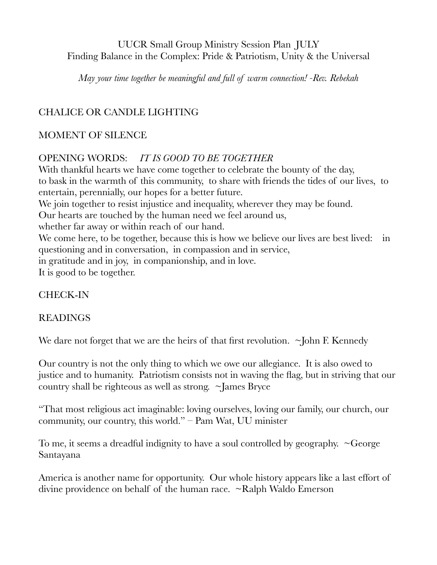## UUCR Small Group Ministry Session Plan JULY Finding Balance in the Complex: Pride & Patriotism, Unity & the Universal

*May your time together be meaningful and full of warm connection! -Rev. Rebekah* 

# CHALICE OR CANDLE LIGHTING

### MOMENT OF SILENCE

## OPENING WORDS: *IT IS GOOD TO BE TOGETHER*

With thankful hearts we have come together to celebrate the bounty of the day, to bask in the warmth of this community, to share with friends the tides of our lives, to entertain, perennially, our hopes for a better future. We join together to resist injustice and inequality, wherever they may be found. Our hearts are touched by the human need we feel around us, whether far away or within reach of our hand. We come here, to be together, because this is how we believe our lives are best lived: in questioning and in conversation, in compassion and in service, in gratitude and in joy, in companionship, and in love. It is good to be together.

## CHECK-IN

### READINGS

We dare not forget that we are the heirs of that first revolution. ~John F. Kennedy

Our country is not the only thing to which we owe our allegiance. It is also owed to justice and to humanity. Patriotism consists not in waving the flag, but in striving that our country shall be righteous as well as strong.  $\sim$ James Bryce

"That most religious act imaginable: loving ourselves, loving our family, our church, our community, our country, this world." – Pam Wat, UU minister

To me, it seems a dreadful indignity to have a soul controlled by geography.  $\sim$ George Santayana

America is another name for opportunity. Our whole history appears like a last effort of divine providence on behalf of the human race. ~Ralph Waldo Emerson